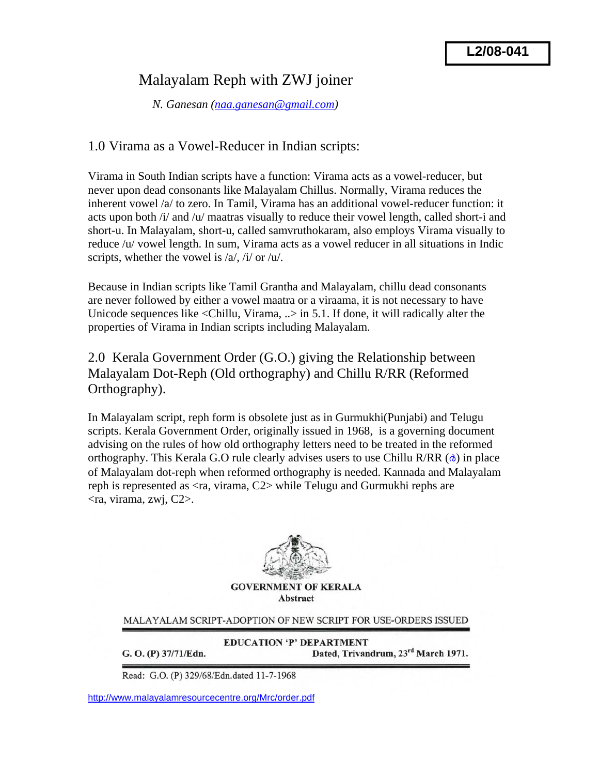## Malayalam Reph with ZWJ joiner

 *N. Ganesan (naa.ganesan@gmail.com)* 

1.0 Virama as a Vowel-Reducer in Indian scripts:

Virama in South Indian scripts have a function: Virama acts as a vowel-reducer, but never upon dead consonants like Malayalam Chillus. Normally, Virama reduces the inherent vowel /a/ to zero. In Tamil, Virama has an additional vowel-reducer function: it acts upon both  $\dot{\mathcal{U}}$  and  $\dot{\mathcal{U}}$  maatras visually to reduce their vowel length, called short-i and short-u. In Malayalam, short-u, called samvruthokaram, also employs Virama visually to reduce /u/ vowel length. In sum, Virama acts as a vowel reducer in all situations in Indic scripts, whether the vowel is  $/a/$ ,  $/i/$  or  $/u/$ .

Because in Indian scripts like Tamil Grantha and Malayalam, chillu dead consonants are never followed by either a vowel maatra or a viraama, it is not necessary to have Unicode sequences like  $\leq$ Chillu, Virama,  $\Rightarrow$  in 5.1. If done, it will radically alter the properties of Virama in Indian scripts including Malayalam.

2.0 Kerala Government Order (G.O.) giving the Relationship between Malayalam Dot-Reph (Old orthography) and Chillu R/RR (Reformed Orthography).

In Malayalam script, reph form is obsolete just as in Gurmukhi(Punjabi) and Telugu scripts. Kerala Government Order, originally issued in 1968, is a governing document advising on the rules of how old orthography letters need to be treated in the reformed orthography. This Kerala G.O rule clearly advises users to use Chillu R/RR  $(\phi)$  in place of Malayalam dot-reph when reformed orthography is needed. Kannada and Malayalam reph is represented as  $\langle ra, \nu \rangle$  virama,  $C2$  while Telugu and Gurmukhi rephs are  $\langle$ ra, virama, zwj, C2 $>$ .



**GOVERNMENT OF KERALA Abstract** 

MALAYALAM SCRIPT-ADOPTION OF NEW SCRIPT FOR USE-ORDERS ISSUED

**EDUCATION 'P' DEPARTMENT** G. O. (P) 37/71/Edn.

Dated, Trivandrum, 23rd March 1971.

Read: G.O. (P) 329/68/Edn.dated 11-7-1968

http://www.malayalamresourcecentre.org/Mrc/order.pdf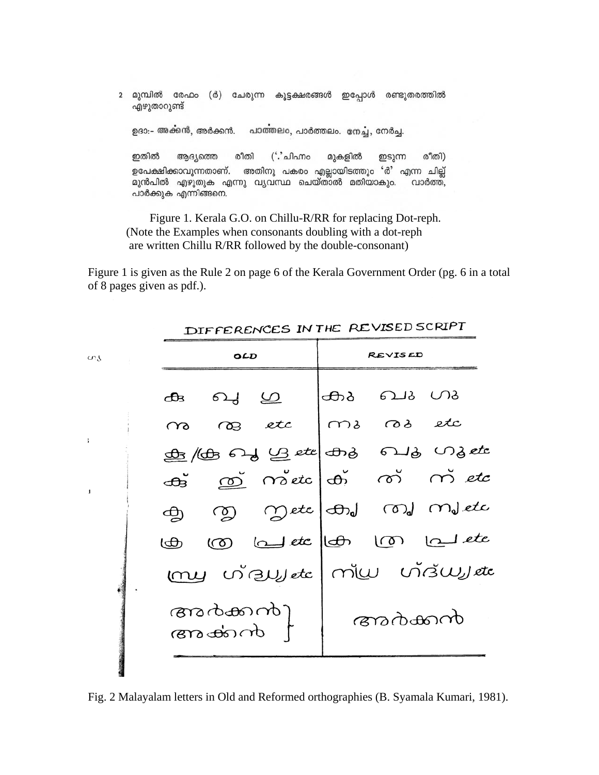2 മുമ്പിൽ രേഫം (ർ) ചേരുന്ന കൂട്ടക്ഷരങ്ങൾ ഇപ്പോൾ രണ്ടുതരത്തിൽ എഴുതാറുണ്ട്

ഉദാ:– അക്കൻ, അർക്കൻ. പാത്തലം, പാർത്തലം. നേച്ച, നേർച്ച.

('.'ചിഹ്നം ഇതിൽ രീതി രീതി) ആദ്യത്തെ മുകളിൽ ഇടുന്ന ഉപേക്ഷിക്കാവുന്നതാണ്. അതിനു പകരം എല്ലായിടത്തും 'ർ' എന്ന ചില്ല് മുൻപിൽ എഴുതുക എന്നു വൃവസ്ഥ ചെയ്താൽ മതിയാകും. വാർത്ത, പാർക്കുക എന്നിങ്ങനെ.

 Figure 1. Kerala G.O. on Chillu-R/RR for replacing Dot-reph. (Note the Examples when consonants doubling with a dot-reph are written Chillu R/RR followed by the double-consonant)

თკ

÷

 $\mathbf{I}$ 

Figure 1 is given as the Rule 2 on page 6 of the Kerala Government Order (pg. 6 in a total of 8 pages given as pdf.).

| OLD                |  |                  | REVISED |               |                                                                                                                                                                                                                                                                                                                     |
|--------------------|--|------------------|---------|---------------|---------------------------------------------------------------------------------------------------------------------------------------------------------------------------------------------------------------------------------------------------------------------------------------------------------------------|
|                    |  | ക<br>കെ പു ഗു    |         | ക്രു പെം ഗ്രൂ |                                                                                                                                                                                                                                                                                                                     |
| ൹                  |  | 03 etc ms 0s etc |         |               |                                                                                                                                                                                                                                                                                                                     |
|                    |  |                  |         |               | <b>ob</b> (CB ony Le etc and only Undeta                                                                                                                                                                                                                                                                            |
|                    |  |                  |         |               | $\frac{1}{2}$ $\frac{1}{2}$ $\frac{1}{2}$ $\frac{1}{2}$ $\frac{1}{2}$ $\frac{1}{2}$ $\frac{1}{2}$ $\frac{1}{2}$ $\frac{1}{2}$ $\frac{1}{2}$ $\frac{1}{2}$ $\frac{1}{2}$ $\frac{1}{2}$ $\frac{1}{2}$ $\frac{1}{2}$ $\frac{1}{2}$ $\frac{1}{2}$ $\frac{1}{2}$ $\frac{1}{2}$ $\frac{1}{2}$ $\frac{1}{2}$ $\frac{1}{2}$ |
|                    |  |                  |         |               | og og mete og malete                                                                                                                                                                                                                                                                                                |
| $\bigoplus$        |  |                  |         |               | 00 kg etc (con kg) and etc                                                                                                                                                                                                                                                                                          |
|                    |  |                  |         |               | my n'aujete miu naujete                                                                                                                                                                                                                                                                                             |
| അർക്കൻി<br>അക്കൻ † |  |                  | അർക്കൻ  |               |                                                                                                                                                                                                                                                                                                                     |
|                    |  |                  |         |               |                                                                                                                                                                                                                                                                                                                     |

DIFFERENCES IN THE REVISED SCRIPT

Fig. 2 Malayalam letters in Old and Reformed orthographies (B. Syamala Kumari, 1981).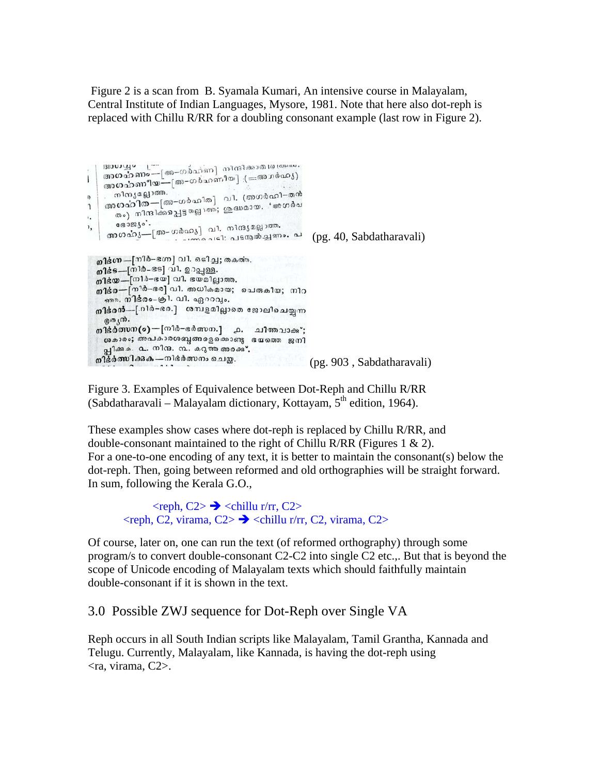Figure 2 is a scan from B. Syamala Kumari, An intensive course in Malayalam, Central Institute of Indian Languages, Mysore, 1981. Note that here also dot-reph is replaced with Chillu R/RR for a doubling consonant example (last row in Figure 2).



Figure 3. Examples of Equivalence between Dot-Reph and Chillu R/RR (Sabdatharavali – Malayalam dictionary, Kottayam,  $5<sup>th</sup>$  edition, 1964).

These examples show cases where dot-reph is replaced by Chillu R/RR, and double-consonant maintained to the right of Chillu R/RR (Figures 1  $\&$  2). For a one-to-one encoding of any text, it is better to maintain the consonant(s) below the dot-reph. Then, going between reformed and old orthographies will be straight forward. In sum, following the Kerala G.O.,

 $\langle$ reph, C2>  $\rightarrow$   $\langle$ chillu r/rr, C2>  $\langle$ reph, C2, virama, C2>  $\rightarrow$   $\langle$ chillu r/rr, C2, virama, C2>

Of course, later on, one can run the text (of reformed orthography) through some program/s to convert double-consonant C2-C2 into single C2 etc.,. But that is beyond the scope of Unicode encoding of Malayalam texts which should faithfully maintain double-consonant if it is shown in the text.

3.0 Possible ZWJ sequence for Dot-Reph over Single VA

Reph occurs in all South Indian scripts like Malayalam, Tamil Grantha, Kannada and Telugu. Currently, Malayalam, like Kannada, is having the dot-reph using  $\langle$ ra, virama, C2 $>$ .